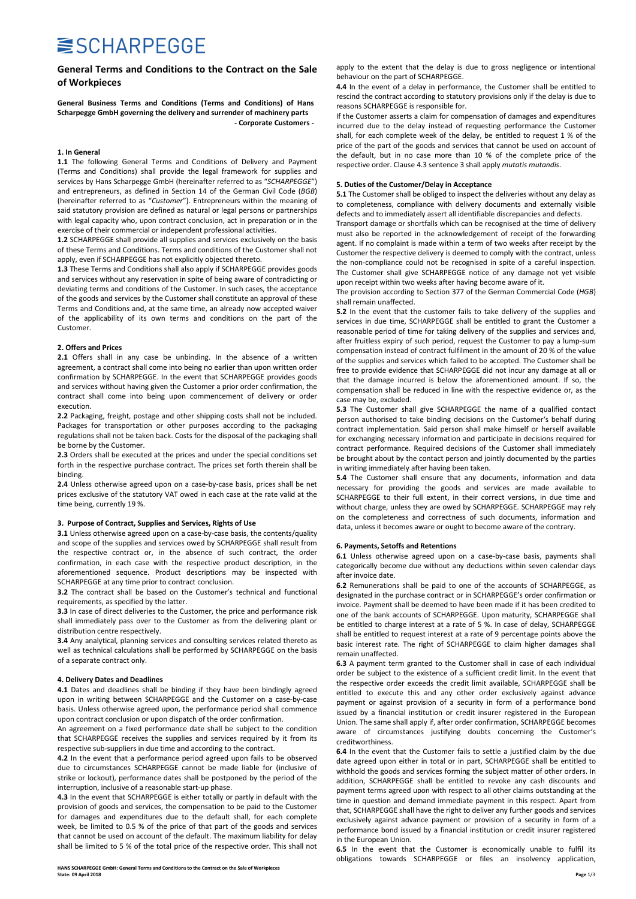## **SISCHARPEGGE**

## General Terms and Conditions to the Contract on the Sale of Workpieces

General Business Terms and Conditions (Terms and Conditions) of Hans Scharpegge GmbH governing the delivery and surrender of machinery parts - Corporate Customers -

#### 1. In General

1.1 The following General Terms and Conditions of Delivery and Payment (Terms and Conditions) shall provide the legal framework for supplies and services by Hans Scharpegge GmbH (hereinafter referred to as "SCHARPEGGE") and entrepreneurs, as defined in Section 14 of the German Civil Code (BGB) (hereinafter referred to as "Customer"). Entrepreneurs within the meaning of said statutory provision are defined as natural or legal persons or partnerships with legal capacity who, upon contract conclusion, act in preparation or in the exercise of their commercial or independent professional activities.

1.2 SCHARPEGGE shall provide all supplies and services exclusively on the basis of these Terms and Conditions. Terms and conditions of the Customer shall not apply, even if SCHARPEGGE has not explicitly objected thereto.

1.3 These Terms and Conditions shall also apply if SCHARPEGGE provides goods and services without any reservation in spite of being aware of contradicting or deviating terms and conditions of the Customer. In such cases, the acceptance of the goods and services by the Customer shall constitute an approval of these Terms and Conditions and, at the same time, an already now accepted waiver of the applicability of its own terms and conditions on the part of the Customer.

## 2. Offers and Prices

2.1 Offers shall in any case be unbinding. In the absence of a written agreement, a contract shall come into being no earlier than upon written order confirmation by SCHARPEGGE. In the event that SCHARPEGGE provides goods and services without having given the Customer a prior order confirmation, the contract shall come into being upon commencement of delivery or order execution.

2.2 Packaging, freight, postage and other shipping costs shall not be included. Packages for transportation or other purposes according to the packaging regulations shall not be taken back. Costs for the disposal of the packaging shall be borne by the Customer.

2.3 Orders shall be executed at the prices and under the special conditions set forth in the respective purchase contract. The prices set forth therein shall be binding.

2.4 Unless otherwise agreed upon on a case-by-case basis, prices shall be net prices exclusive of the statutory VAT owed in each case at the rate valid at the time being, currently 19 %.

#### 3. Purpose of Contract, Supplies and Services, Rights of Use

3.1 Unless otherwise agreed upon on a case-by-case basis, the contents/quality and scope of the supplies and services owed by SCHARPEGGE shall result from the respective contract or, in the absence of such contract, the order confirmation, in each case with the respective product description, in the aforementioned sequence. Product descriptions may be inspected with SCHARPEGGE at any time prior to contract conclusion.

3.2 The contract shall be based on the Customer's technical and functional requirements, as specified by the latter.

3.3 In case of direct deliveries to the Customer, the price and performance risk shall immediately pass over to the Customer as from the delivering plant or distribution centre respectively.

3.4 Any analytical, planning services and consulting services related thereto as well as technical calculations shall be performed by SCHARPEGGE on the basis of a separate contract only.

#### 4. Delivery Dates and Deadlines

4.1 Dates and deadlines shall be binding if they have been bindingly agreed upon in writing between SCHARPEGGE and the Customer on a case-by-case basis. Unless otherwise agreed upon, the performance period shall commence upon contract conclusion or upon dispatch of the order confirmation.

An agreement on a fixed performance date shall be subject to the condition that SCHARPEGGE receives the supplies and services required by it from its respective sub-suppliers in due time and according to the contract.

4.2 In the event that a performance period agreed upon fails to be observed due to circumstances SCHARPEGGE cannot be made liable for (inclusive of strike or lockout), performance dates shall be postponed by the period of the interruption, inclusive of a reasonable start-up phase.

4.3 In the event that SCHARPEGGE is either totally or partly in default with the provision of goods and services, the compensation to be paid to the Customer for damages and expenditures due to the default shall, for each complete week, be limited to 0.5 % of the price of that part of the goods and services that cannot be used on account of the default. The maximum liability for delay shall be limited to 5 % of the total price of the respective order. This shall not

HANS SCHARPEGGE GmbH: General Terms and Conditions to the Contract on the Sale of Workpieces<br>State: 09 April 2018 State: 09 April 2018 Page 1/3

apply to the extent that the delay is due to gross negligence or intentional behaviour on the part of SCHARPEGGE.

4.4 In the event of a delay in performance, the Customer shall be entitled to rescind the contract according to statutory provisions only if the delay is due to reasons SCHARPEGGE is responsible for.

If the Customer asserts a claim for compensation of damages and expenditures incurred due to the delay instead of requesting performance the Customer shall, for each complete week of the delay, be entitled to request 1 % of the price of the part of the goods and services that cannot be used on account of the default, but in no case more than 10 % of the complete price of the respective order. Clause 4.3 sentence 3 shall apply mutatis mutandis.

## 5. Duties of the Customer/Delay in Acceptance

5.1 The Customer shall be obliged to inspect the deliveries without any delay as to completeness, compliance with delivery documents and externally visible defects and to immediately assert all identifiable discrepancies and defects.

Transport damage or shortfalls which can be recognised at the time of delivery must also be reported in the acknowledgement of receipt of the forwarding agent. If no complaint is made within a term of two weeks after receipt by the Customer the respective delivery is deemed to comply with the contract, unless the non-compliance could not be recognised in spite of a careful inspection. The Customer shall give SCHARPEGGE notice of any damage not yet visible upon receipt within two weeks after having become aware of it.

The provision according to Section 377 of the German Commercial Code (HGB) shall remain unaffected.

5.2 In the event that the customer fails to take delivery of the supplies and services in due time, SCHARPEGGE shall be entitled to grant the Customer a reasonable period of time for taking delivery of the supplies and services and, after fruitless expiry of such period, request the Customer to pay a lump-sum compensation instead of contract fulfilment in the amount of 20 % of the value of the supplies and services which failed to be accepted. The Customer shall be free to provide evidence that SCHARPEGGE did not incur any damage at all or that the damage incurred is below the aforementioned amount. If so, the compensation shall be reduced in line with the respective evidence or, as the case may be, excluded.

5.3 The Customer shall give SCHARPEGGE the name of a qualified contact person authorised to take binding decisions on the Customer's behalf during contract implementation. Said person shall make himself or herself available for exchanging necessary information and participate in decisions required for contract performance. Required decisions of the Customer shall immediately be brought about by the contact person and jointly documented by the parties in writing immediately after having been taken.

5.4 The Customer shall ensure that any documents, information and data necessary for providing the goods and services are made available to SCHARPEGGE to their full extent, in their correct versions, in due time and without charge, unless they are owed by SCHARPEGGE. SCHARPEGGE may rely on the completeness and correctness of such documents, information and data, unless it becomes aware or ought to become aware of the contrary.

## 6. Payments, Setoffs and Retentions

6.1 Unless otherwise agreed upon on a case-by-case basis, payments shall categorically become due without any deductions within seven calendar days after invoice date.

6.2 Remunerations shall be paid to one of the accounts of SCHARPEGGE, as designated in the purchase contract or in SCHARPEGGE's order confirmation or invoice. Payment shall be deemed to have been made if it has been credited to one of the bank accounts of SCHARPEGGE. Upon maturity, SCHARPEGGE shall be entitled to charge interest at a rate of 5 %. In case of delay, SCHARPEGGE shall be entitled to request interest at a rate of 9 percentage points above the basic interest rate. The right of SCHARPEGGE to claim higher damages shall remain unaffected.

6.3 A payment term granted to the Customer shall in case of each individual order be subject to the existence of a sufficient credit limit. In the event that the respective order exceeds the credit limit available, SCHARPEGGE shall be entitled to execute this and any other order exclusively against advance payment or against provision of a security in form of a performance bond issued by a financial institution or credit insurer registered in the European Union. The same shall apply if, after order confirmation, SCHARPEGGE becomes aware of circumstances justifying doubts concerning the Customer's creditworthiness.

6.4 In the event that the Customer fails to settle a justified claim by the due date agreed upon either in total or in part, SCHARPEGGE shall be entitled to withhold the goods and services forming the subject matter of other orders. In addition, SCHARPEGGE shall be entitled to revoke any cash discounts and payment terms agreed upon with respect to all other claims outstanding at the time in question and demand immediate payment in this respect. Apart from that, SCHARPEGGE shall have the right to deliver any further goods and services exclusively against advance payment or provision of a security in form of a performance bond issued by a financial institution or credit insurer registered in the European Union.

6.5 In the event that the Customer is economically unable to fulfil its obligations towards SCHARPEGGE or files an insolvency application,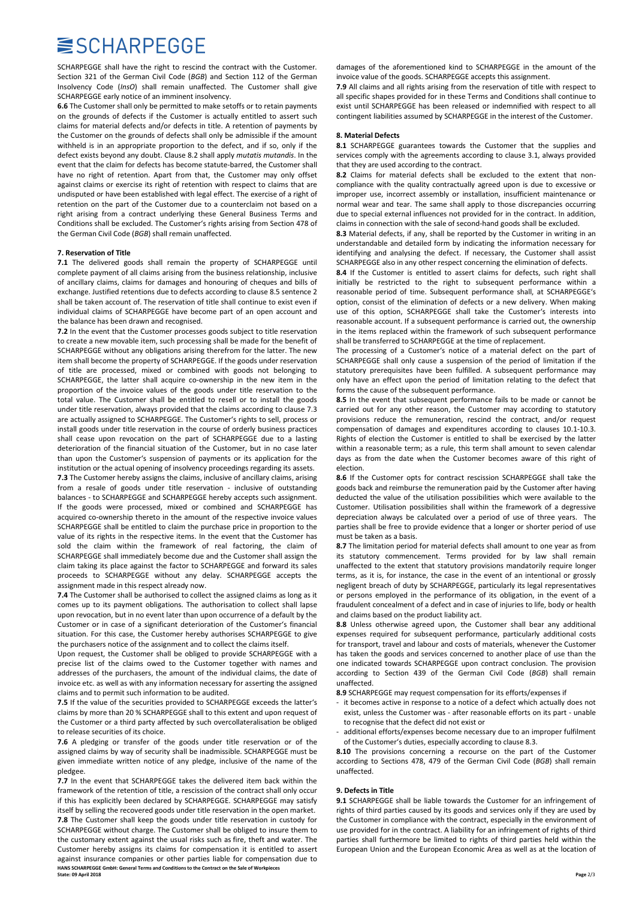## **SISCHARPEGGE**

SCHARPEGGE shall have the right to rescind the contract with the Customer. Section 321 of the German Civil Code (BGB) and Section 112 of the German Insolvency Code (InsO) shall remain unaffected. The Customer shall give SCHARPEGGE early notice of an imminent insolvency.

6.6 The Customer shall only be permitted to make setoffs or to retain payments on the grounds of defects if the Customer is actually entitled to assert such claims for material defects and/or defects in title. A retention of payments by the Customer on the grounds of defects shall only be admissible if the amount withheld is in an appropriate proportion to the defect, and if so, only if the defect exists beyond any doubt. Clause 8.2 shall apply mutatis mutandis. In the event that the claim for defects has become statute-barred, the Customer shall have no right of retention. Apart from that, the Customer may only offset against claims or exercise its right of retention with respect to claims that are undisputed or have been established with legal effect. The exercise of a right of retention on the part of the Customer due to a counterclaim not based on a right arising from a contract underlying these General Business Terms and Conditions shall be excluded. The Customer's rights arising from Section 478 of the German Civil Code (BGB) shall remain unaffected.

#### 7. Reservation of Title

7.1 The delivered goods shall remain the property of SCHARPEGGE until complete payment of all claims arising from the business relationship, inclusive of ancillary claims, claims for damages and honouring of cheques and bills of exchange. Justified retentions due to defects according to clause 8.5 sentence 2 shall be taken account of. The reservation of title shall continue to exist even if individual claims of SCHARPEGGE have become part of an open account and the balance has been drawn and recognised.

7.2 In the event that the Customer processes goods subject to title reservation to create a new movable item, such processing shall be made for the benefit of SCHARPEGGE without any obligations arising therefrom for the latter. The new item shall become the property of SCHARPEGGE. If the goods under reservation of title are processed, mixed or combined with goods not belonging to SCHARPEGGE, the latter shall acquire co-ownership in the new item in the proportion of the invoice values of the goods under title reservation to the total value. The Customer shall be entitled to resell or to install the goods under title reservation, always provided that the claims according to clause 7.3 are actually assigned to SCHARPEGGE. The Customer's rights to sell, process or install goods under title reservation in the course of orderly business practices shall cease upon revocation on the part of SCHARPEGGE due to a lasting deterioration of the financial situation of the Customer, but in no case later than upon the Customer's suspension of payments or its application for the institution or the actual opening of insolvency proceedings regarding its assets. 7.3 The Customer hereby assigns the claims, inclusive of ancillary claims, arising from a resale of goods under title reservation - inclusive of outstanding balances - to SCHARPEGGE and SCHARPEGGE hereby accepts such assignment. If the goods were processed, mixed or combined and SCHARPEGGE has acquired co-ownership thereto in the amount of the respective invoice values SCHARPEGGE shall be entitled to claim the purchase price in proportion to the value of its rights in the respective items. In the event that the Customer has sold the claim within the framework of real factoring, the claim of SCHARPEGGE shall immediately become due and the Customer shall assign the claim taking its place against the factor to SCHARPEGGE and forward its sales proceeds to SCHARPEGGE without any delay. SCHARPEGGE accepts the assignment made in this respect already now.

7.4 The Customer shall be authorised to collect the assigned claims as long as it comes up to its payment obligations. The authorisation to collect shall lapse upon revocation, but in no event later than upon occurrence of a default by the Customer or in case of a significant deterioration of the Customer's financial situation. For this case, the Customer hereby authorises SCHARPEGGE to give the purchasers notice of the assignment and to collect the claims itself.

Upon request, the Customer shall be obliged to provide SCHARPEGGE with a precise list of the claims owed to the Customer together with names and addresses of the purchasers, the amount of the individual claims, the date of invoice etc. as well as with any information necessary for asserting the assigned claims and to permit such information to be audited.

7.5 If the value of the securities provided to SCHARPEGGE exceeds the latter's claims by more than 20 % SCHARPEGGE shall to this extent and upon request of the Customer or a third party affected by such overcollateralisation be obliged to release securities of its choice.

7.6 A pledging or transfer of the goods under title reservation or of the assigned claims by way of security shall be inadmissible. SCHARPEGGE must be given immediate written notice of any pledge, inclusive of the name of the pledgee.

7.7 In the event that SCHARPEGGE takes the delivered item back within the framework of the retention of title, a rescission of the contract shall only occur if this has explicitly been declared by SCHARPEGGE. SCHARPEGGE may satisfy itself by selling the recovered goods under title reservation in the open market.

HANS SCHARPEGGE GmbH: General Terms and Conditions to the Contract on the Sale of Wo<br>State: 09 April 2018 State: 09 April 2018 Page 2/3 7.8 The Customer shall keep the goods under title reservation in custody for SCHARPEGGE without charge. The Customer shall be obliged to insure them to the customary extent against the usual risks such as fire, theft and water. The Customer hereby assigns its claims for compensation it is entitled to assert against insurance companies or other parties liable for compensation due to

damages of the aforementioned kind to SCHARPEGGE in the amount of the invoice value of the goods. SCHARPEGGE accepts this assignment.

7.9 All claims and all rights arising from the reservation of title with respect to all specific shapes provided for in these Terms and Conditions shall continue to exist until SCHARPEGGE has been released or indemnified with respect to all contingent liabilities assumed by SCHARPEGGE in the interest of the Customer.

## 8. Material Defects

8.1 SCHARPEGGE guarantees towards the Customer that the supplies and services comply with the agreements according to clause 3.1, always provided that they are used according to the contract.

8.2 Claims for material defects shall be excluded to the extent that noncompliance with the quality contractually agreed upon is due to excessive or improper use, incorrect assembly or installation, insufficient maintenance or normal wear and tear. The same shall apply to those discrepancies occurring due to special external influences not provided for in the contract. In addition, claims in connection with the sale of second-hand goods shall be excluded.

8.3 Material defects, if any, shall be reported by the Customer in writing in an understandable and detailed form by indicating the information necessary for identifying and analysing the defect. If necessary, the Customer shall assist SCHARPEGGE also in any other respect concerning the elimination of defects.

8.4 If the Customer is entitled to assert claims for defects, such right shall initially be restricted to the right to subsequent performance within a reasonable period of time. Subsequent performance shall, at SCHARPEGGE's option, consist of the elimination of defects or a new delivery. When making use of this option, SCHARPEGGE shall take the Customer's interests into reasonable account. If a subsequent performance is carried out, the ownership in the items replaced within the framework of such subsequent performance shall be transferred to SCHARPEGGE at the time of replacement.

The processing of a Customer's notice of a material defect on the part of SCHARPEGGE shall only cause a suspension of the period of limitation if the statutory prerequisites have been fulfilled. A subsequent performance may only have an effect upon the period of limitation relating to the defect that forms the cause of the subsequent performance.

8.5 In the event that subsequent performance fails to be made or cannot be carried out for any other reason, the Customer may according to statutory provisions reduce the remuneration, rescind the contract, and/or request compensation of damages and expenditures according to clauses 10.1-10.3. Rights of election the Customer is entitled to shall be exercised by the latter within a reasonable term; as a rule, this term shall amount to seven calendar days as from the date when the Customer becomes aware of this right of election.

8.6 If the Customer opts for contract rescission SCHARPEGGE shall take the goods back and reimburse the remuneration paid by the Customer after having deducted the value of the utilisation possibilities which were available to the Customer. Utilisation possibilities shall within the framework of a degressive depreciation always be calculated over a period of use of three years. The parties shall be free to provide evidence that a longer or shorter period of use must be taken as a basis.

8.7 The limitation period for material defects shall amount to one year as from its statutory commencement. Terms provided for by law shall remain unaffected to the extent that statutory provisions mandatorily require longer terms, as it is, for instance, the case in the event of an intentional or grossly negligent breach of duty by SCHARPEGGE, particularly its legal representatives or persons employed in the performance of its obligation, in the event of a fraudulent concealment of a defect and in case of injuries to life, body or health and claims based on the product liability act.

8.8 Unless otherwise agreed upon, the Customer shall bear any additional expenses required for subsequent performance, particularly additional costs for transport, travel and labour and costs of materials, whenever the Customer has taken the goods and services concerned to another place of use than the one indicated towards SCHARPEGGE upon contract conclusion. The provision according to Section 439 of the German Civil Code (BGB) shall remain unaffected.

8.9 SCHARPEGGE may request compensation for its efforts/expenses if

- it becomes active in response to a notice of a defect which actually does not exist, unless the Customer was - after reasonable efforts on its part - unable to recognise that the defect did not exist or
- additional efforts/expenses become necessary due to an improper fulfilment of the Customer's duties, especially according to clause 8.3.

8.10 The provisions concerning a recourse on the part of the Customer according to Sections 478, 479 of the German Civil Code (BGB) shall remain unaffected.

#### 9. Defects in Title

9.1 SCHARPEGGE shall be liable towards the Customer for an infringement of rights of third parties caused by its goods and services only if they are used by the Customer in compliance with the contract, especially in the environment of use provided for in the contract. A liability for an infringement of rights of third parties shall furthermore be limited to rights of third parties held within the European Union and the European Economic Area as well as at the location of